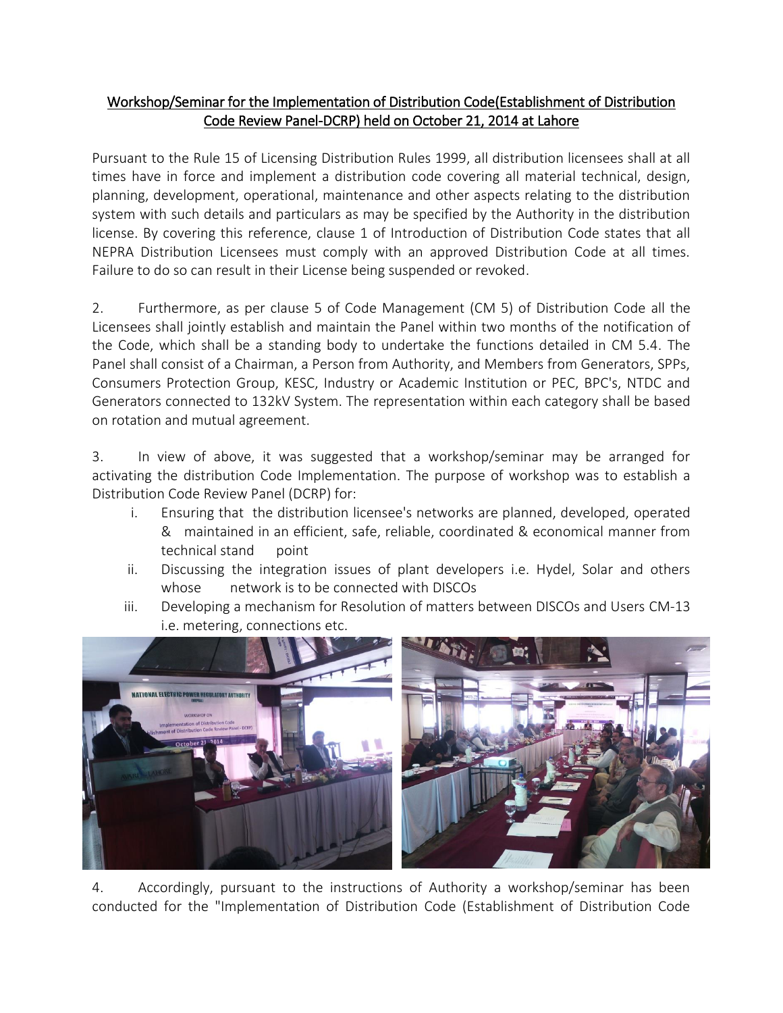## Workshop/Seminar for the Implementation of Distribution Code(Establishment of Distribution Code Review Panel-DCRP) held on October 21, 2014 at Lahore

Pursuant to the Rule 15 of Licensing Distribution Rules 1999, all distribution licensees shall at all times have in force and implement a distribution code covering all material technical, design, planning, development, operational, maintenance and other aspects relating to the distribution system with such details and particulars as may be specified by the Authority in the distribution license. By covering this reference, clause 1 of Introduction of Distribution Code states that all NEPRA Distribution Licensees must comply with an approved Distribution Code at all times. Failure to do so can result in their License being suspended or revoked.

2. Furthermore, as per clause 5 of Code Management (CM 5) of Distribution Code all the Licensees shall jointly establish and maintain the Panel within two months of the notification of the Code, which shall be a standing body to undertake the functions detailed in CM 5.4. The Panel shall consist of a Chairman, a Person from Authority, and Members from Generators, SPPs, Consumers Protection Group, KESC, Industry or Academic Institution or PEC, BPC's, NTDC and Generators connected to 132kV System. The representation within each category shall be based on rotation and mutual agreement.

3. In view of above, it was suggested that a workshop/seminar may be arranged for activating the distribution Code Implementation. The purpose of workshop was to establish a Distribution Code Review Panel (DCRP) for:

- i. Ensuring that the distribution licensee's networks are planned, developed, operated & maintained in an efficient, safe, reliable, coordinated & economical manner from technical stand point
- ii. Discussing the integration issues of plant developers i.e. Hydel, Solar and others whose onetwork is to be connected with DISCOs
- iii. Developing a mechanism for Resolution of matters between DISCOs and Users CM-13 i.e. metering, connections etc.



4. Accordingly, pursuant to the instructions of Authority a workshop/seminar has been conducted for the "Implementation of Distribution Code (Establishment of Distribution Code